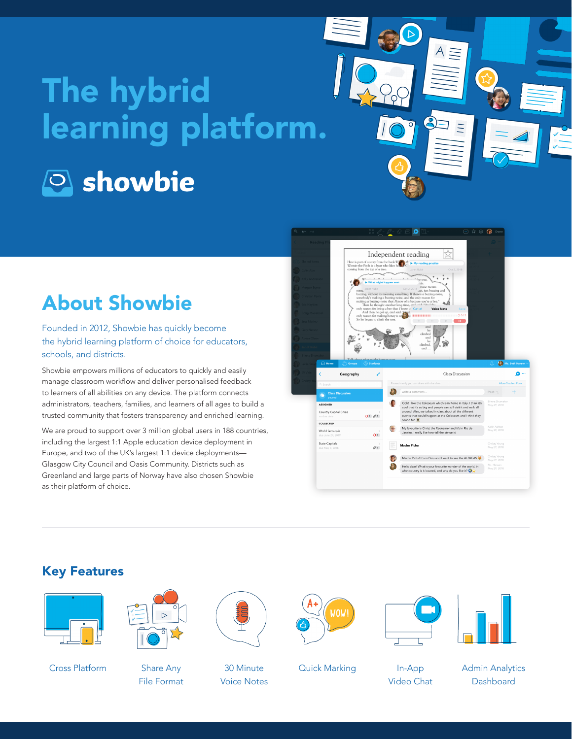# The hybrid learning platform. **Showbie**

# About Showbie

Founded in 2012, Showbie has quickly become the hybrid learning platform of choice for educators, schools, and districts.

Showbie empowers millions of educators to quickly and easily manage classroom workflow and deliver personalised feedback to learners of all abilities on any device. The platform connects administrators, teachers, families, and learners of all ages to build a trusted community that fosters transparency and enriched learning.

We are proud to support over 3 million global users in 188 countries, including the largest 1:1 Apple education device deployment in Europe, and two of the UK's largest 1:1 device deployments— Glasgow City Council and Oasis Community. Districts such as Greenland and large parts of Norway have also chosen Showbie as their platform of choice.



 $A \equiv$ 

 $\overline{11}$ 

#### Key Features



Cross Platform Share Any



File Format



30 Minute Voice Notes



Quick Marking In-App





Video Chat

Admin Analytics **Dashboard**